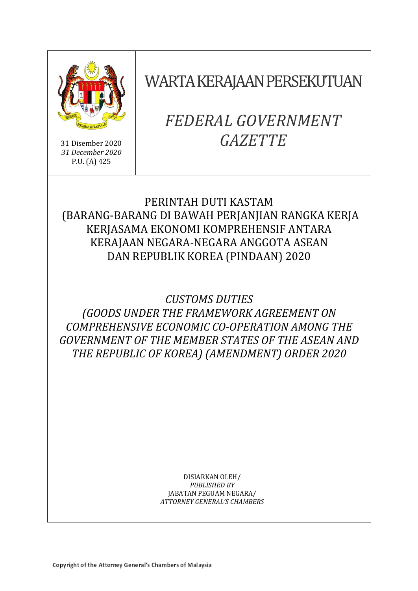

31 Disember 2020 *31 December 2020* P.U. (A) 425

WARTA KERAJAAN PERSEKUTUAN

# *FEDERAL GOVERNMENT GAZETTE*

### PERINTAH DUTI KASTAM (BARANG-BARANG DI BAWAH PERJANJIAN RANGKA KERJA KERJASAMA EKONOMI KOMPREHENSIF ANTARA KERAJAAN NEGARA-NEGARA ANGGOTA ASEAN DAN REPUBLIK KOREA (PINDAAN) 2020

## *CUSTOMS DUTIES (GOODS UNDER THE FRAMEWORK AGREEMENT ON COMPREHENSIVE ECONOMIC CO-OPERATION AMONG THE GOVERNMENT OF THE MEMBER STATES OF THE ASEAN AND THE REPUBLIC OF KOREA) (AMENDMENT) ORDER 2020*

#### DISIARKAN OLEH/ *PUBLISHED BY* JABATAN PEGUAM NEGARA/ *ATTORNEY GENERAL'S CHAMBERS*

Copyright of the Attorney General's Chambers of Malaysia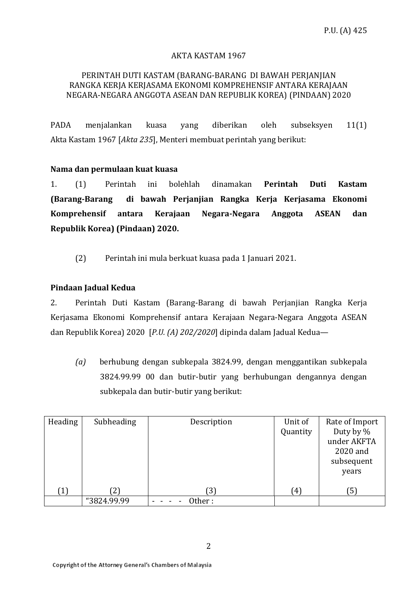#### AKTA KASTAM 1967

#### PERINTAH DUTI KASTAM (BARANG-BARANG DI BAWAH PERJANJIAN RANGKA KERJA KERJASAMA EKONOMI KOMPREHENSIF ANTARA KERAJAAN NEGARA-NEGARA ANGGOTA ASEAN DAN REPUBLIK KOREA) (PINDAAN) 2020

PADA menjalankan kuasa yang diberikan oleh subseksyen 11(1) Akta Kastam 1967 [*Akta 235*], Menteri membuat perintah yang berikut:

#### **Nama dan permulaan kuat kuasa**

1. (1) Perintah ini bolehlah dinamakan **Perintah Duti Kastam (Barang-Barang di bawah Perjanjian Rangka Kerja Kerjasama Ekonomi Komprehensif antara Kerajaan Negara-Negara Anggota ASEAN dan Republik Korea) (Pindaan) 2020.**

(2) Perintah ini mula berkuat kuasa pada 1 Januari 2021.

#### **Pindaan Jadual Kedua**

2. Perintah Duti Kastam (Barang-Barang di bawah Perjanjian Rangka Kerja Kerjasama Ekonomi Komprehensif antara Kerajaan Negara-Negara Anggota ASEAN dan Republik Korea) 2020 [*P.U. (A) 202/2020*] dipinda dalam Jadual Kedua—

*(a)* berhubung dengan subkepala 3824.99, dengan menggantikan subkepala 3824.99.99 00 dan butir-butir yang berhubungan dengannya dengan subkepala dan butir-butir yang berikut:

| Heading | Subheading  | Description | Unit of<br>Quantity | Rate of Import<br>Duty by %<br>under AKFTA<br>2020 and<br>subsequent<br>years |
|---------|-------------|-------------|---------------------|-------------------------------------------------------------------------------|
| (1)     |             | [3]         | $^{4}$              | ์5)                                                                           |
|         | "3824.99.99 | )ther :     |                     |                                                                               |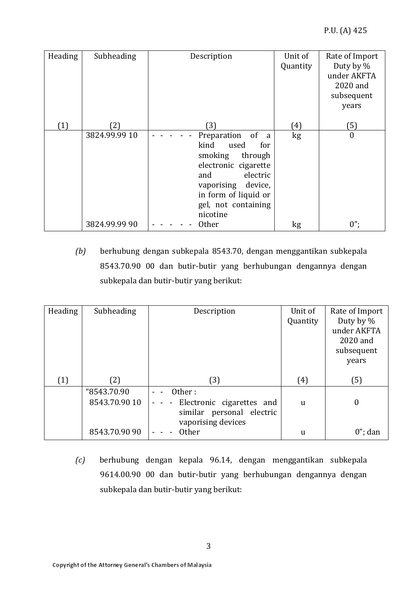| Heading | Subheading    | Description          | Unit of          | Rate of Import |
|---------|---------------|----------------------|------------------|----------------|
|         |               |                      | Quantity         | Duty by %      |
|         |               |                      |                  | under AKFTA    |
|         |               |                      |                  | 2020 and       |
|         |               |                      |                  | subsequent     |
|         |               |                      |                  | years          |
|         |               |                      |                  |                |
| (1)     | ′2)           | (3)                  | $\left(4\right)$ | (5)            |
|         | 3824.99.99 10 | Preparation<br>of a  | kg               | $\theta$       |
|         |               | kind<br>used<br>for  |                  |                |
|         |               | smoking<br>through   |                  |                |
|         |               | electronic cigarette |                  |                |
|         |               | electric<br>and      |                  |                |
|         |               | vaporising device,   |                  |                |
|         |               | in form of liquid or |                  |                |
|         |               | gel, not containing  |                  |                |
|         |               | nicotine             |                  |                |
|         | 3824.99.99 90 | <b>Other</b>         | kg               | $0$ ";         |

*(b)* berhubung dengan subkepala 8543.70, dengan menggantikan subkepala 8543.70.90 00 dan butir-butir yang berhubungan dengannya dengan subkepala dan butir-butir yang berikut:

| Heading | Subheading                   | Description                                                                        | Unit of<br>Quantity | Rate of Import<br>Duty by %<br>under AKFTA<br>2020 and<br>subsequent<br>years |
|---------|------------------------------|------------------------------------------------------------------------------------|---------------------|-------------------------------------------------------------------------------|
| (1)     | (2)                          | (3)                                                                                | (4)                 | (5)                                                                           |
|         | "8543.70.90<br>8543.70.90 10 | Other:<br>Electronic cigarettes and<br>$\blacksquare$<br>similar personal electric | $\mathbf{u}$        | $\boldsymbol{0}$                                                              |
|         | 8543.70.90 90                | vaporising devices<br><b>Other</b>                                                 | u                   | $0$ "; dan                                                                    |

*(c)* berhubung dengan kepala 96.14, dengan menggantikan subkepala 9614.00.90 00 dan butir-butir yang berhubungan dengannya dengan subkepala dan butir-butir yang berikut: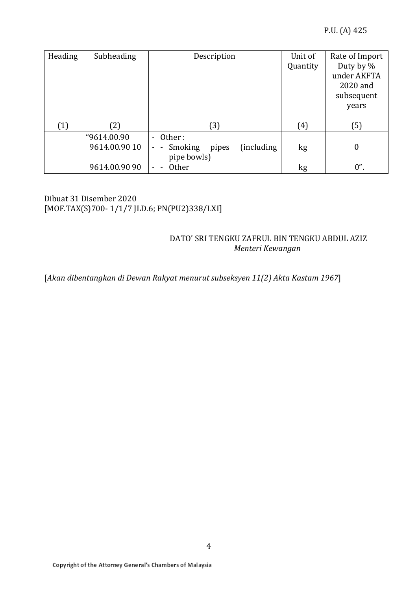| Heading | Subheading    | Description                                                                        | Unit of<br>Quantity | Rate of Import<br>Duty by %<br>under AKFTA<br>2020 and<br>subsequent<br>years |
|---------|---------------|------------------------------------------------------------------------------------|---------------------|-------------------------------------------------------------------------------|
| (1)     | (2)           | (3)                                                                                | (4)                 | (5)                                                                           |
|         | "9614.00.90   | - Other:                                                                           |                     |                                                                               |
|         | 9614.00.90 10 | (including)<br>Smoking<br>pipes<br>$\blacksquare$<br>$\blacksquare$<br>pipe bowls) | kg                  | $\boldsymbol{0}$                                                              |
|         | 9614.00.90 90 | <b>Other</b><br>$\overline{\phantom{0}}$                                           | kg                  | $0$ ".                                                                        |

Dibuat 31 Disember 2020 [MOF.TAX(S)700- 1/1/7 JLD.6; PN(PU2)338/LXI]

### DATO' SRI TENGKU ZAFRUL BIN TENGKU ABDUL AZIZ  *Menteri Kewangan*

[*Akan dibentangkan di Dewan Rakyat menurut subseksyen 11(2) Akta Kastam 1967*]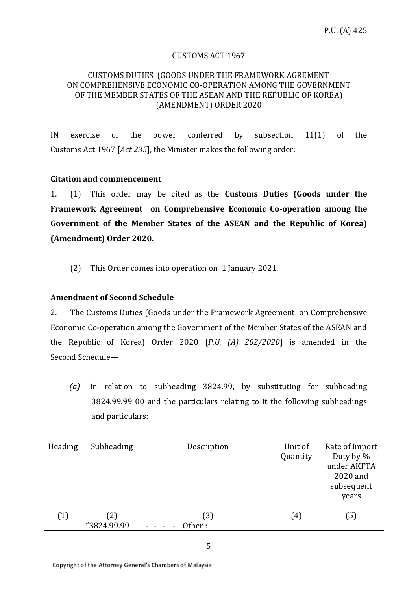#### CUSTOMS ACT 1967

#### CUSTOMS DUTIES (GOODS UNDER THE FRAMEWORK AGREMENT ON COMPREHENSIVE ECONOMIC CO-OPERATION AMONG THE GOVERNMENT OF THE MEMBER STATES OF THE ASEAN AND THE REPUBLIC OF KOREA) (AMENDMENT) ORDER 2020

IN exercise of the power conferred by subsection 11(1) of the Customs Act 1967 [*Act 235*], the Minister makes the following order:

#### **Citation and commencement**

1. (1) This order may be cited as the **Customs Duties (Goods under the Framework Agreement on Comprehensive Economic Co-operation among the Government of the Member States of the ASEAN and the Republic of Korea) (Amendment) Order 2020.**

(2) This Order comes into operation on 1 January 2021.

#### **Amendment of Second Schedule**

2. The Customs Duties (Goods under the Framework Agreement on Comprehensive Economic Co-operation among the Government of the Member States of the ASEAN and the Republic of Korea) Order 2020 [*P.U. (A) 202/2020*] is amended in the Second Schedule—

*(a)* in relation to subheading 3824.99, by substituting for subheading 3824.99.99 00 and the particulars relating to it the following subheadings and particulars:

| Heading | Subheading  | Description | Unit of  | Rate of Import |
|---------|-------------|-------------|----------|----------------|
|         |             |             | Quantity | Duty by %      |
|         |             |             |          | under AKFTA    |
|         |             |             |          | 2020 and       |
|         |             |             |          | subsequent     |
|         |             |             |          | years          |
|         |             |             |          |                |
| (1)     | 21          | 3)          | (4)      | ์5)            |
|         | "3824.99.99 | Other :     |          |                |

5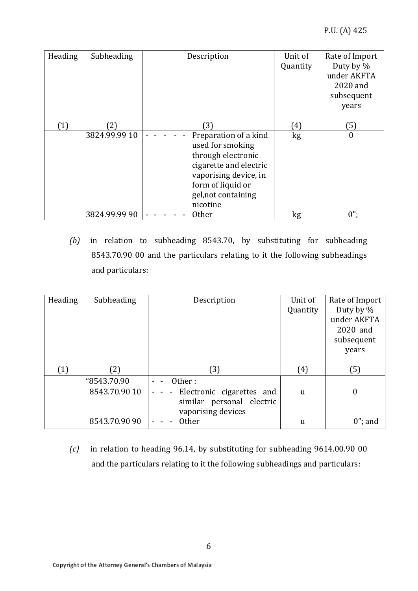| Heading | Subheading    | Description            | Unit of  | Rate of Import |
|---------|---------------|------------------------|----------|----------------|
|         |               |                        | Quantity | Duty by %      |
|         |               |                        |          | under AKFTA    |
|         |               |                        |          | 2020 and       |
|         |               |                        |          | subsequent     |
|         |               |                        |          | years          |
|         |               |                        |          |                |
| (1)     | 21            | (3)                    | 4)       | 5)             |
|         | 3824.99.99 10 | Preparation of a kind  | kg       | $\mathbf{0}$   |
|         |               | used for smoking       |          |                |
|         |               | through electronic     |          |                |
|         |               | cigarette and electric |          |                |
|         |               | vaporising device, in  |          |                |
|         |               | form of liquid or      |          |                |
|         |               | gel, not containing    |          |                |
|         |               | nicotine               |          |                |
|         | 3824.99.99 90 | <b>Other</b>           | kg       | $0$ ";         |

*(b)* in relation to subheading 8543.70, by substituting for subheading 8543.70.90 00 and the particulars relating to it the following subheadings and particulars:

| Heading | Subheading    | Description                   | Unit of  | Rate of Import |
|---------|---------------|-------------------------------|----------|----------------|
|         |               |                               | Quantity | Duty by %      |
|         |               |                               |          | under AKFTA    |
|         |               |                               |          | 2020 and       |
|         |               |                               |          | subsequent     |
|         |               |                               |          | years          |
|         |               |                               |          |                |
| (1)     | (2)           | (3)                           | (4)      | (5)            |
|         | "8543.70.90   | Other:                        |          |                |
|         | 8543.70.90 10 | - - Electronic cigarettes and | u        | 0              |
|         |               | similar personal electric     |          |                |
|         |               | vaporising devices            |          |                |
|         | 8543.70.90 90 | <b>Other</b>                  | <b>u</b> | $0$ "; and     |

*(c)* in relation to heading 96.14, by substituting for subheading 9614.00.90 00 and the particulars relating to it the following subheadings and particulars: